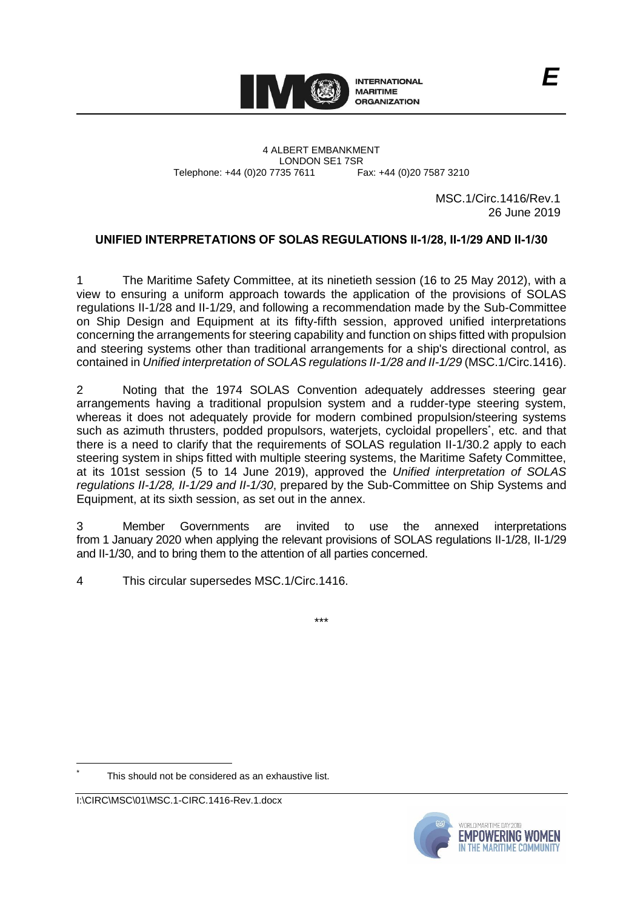

4 ALBERT EMBANKMENT Telephone: +44 (0)20 7735 7611

LONDON SE1 7SR<br>735 7611 Fax: +44 (0)20 7587 3210

MSC.1/Circ.1416/Rev.1 26 June 2019

# **UNIFIED INTERPRETATIONS OF SOLAS REGULATIONS II-1/28, II-1/29 AND II-1/30**

1 The Maritime Safety Committee, at its ninetieth session (16 to 25 May 2012), with a view to ensuring a uniform approach towards the application of the provisions of SOLAS regulations II-1/28 and II-1/29, and following a recommendation made by the Sub-Committee on Ship Design and Equipment at its fifty-fifth session, approved unified interpretations concerning the arrangements for steering capability and function on ships fitted with propulsion and steering systems other than traditional arrangements for a ship's directional control, as contained in *Unified interpretation of SOLAS regulations II-1/28 and II-1/29* (MSC.1/Circ.1416).

2 Noting that the 1974 SOLAS Convention adequately addresses steering gear arrangements having a traditional propulsion system and a rudder-type steering system, whereas it does not adequately provide for modern combined propulsion/steering systems such as azimuth thrusters, podded propulsors, waterjets, cycloidal propellers<sup>\*</sup>, etc. and that there is a need to clarify that the requirements of SOLAS regulation II-1/30.2 apply to each steering system in ships fitted with multiple steering systems, the Maritime Safety Committee, at its 101st session (5 to 14 June 2019), approved the *Unified interpretation of SOLAS regulations II-1/28, II-1/29 and II-1/30*, prepared by the Sub-Committee on Ship Systems and Equipment, at its sixth session, as set out in the annex.

3 Member Governments are invited to use the annexed interpretations from 1 January 2020 when applying the relevant provisions of SOLAS regulations II-1/28, II-1/29 and II-1/30, and to bring them to the attention of all parties concerned.

\*\*\*

4 This circular supersedes MSC.1/Circ.1416.

This should not be considered as an exhaustive list.

 $\overline{a}$ 



I:\CIRC\MSC\01\MSC.1-CIRC.1416-Rev.1.docx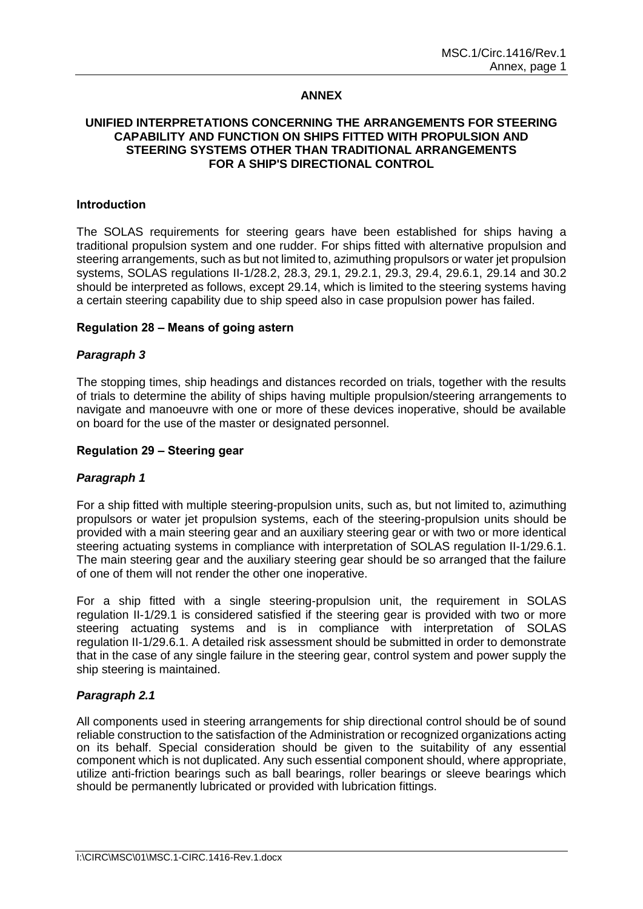### **ANNEX**

### **UNIFIED INTERPRETATIONS CONCERNING THE ARRANGEMENTS FOR STEERING CAPABILITY AND FUNCTION ON SHIPS FITTED WITH PROPULSION AND STEERING SYSTEMS OTHER THAN TRADITIONAL ARRANGEMENTS FOR A SHIP'S DIRECTIONAL CONTROL**

#### **Introduction**

The SOLAS requirements for steering gears have been established for ships having a traditional propulsion system and one rudder. For ships fitted with alternative propulsion and steering arrangements, such as but not limited to, azimuthing propulsors or water jet propulsion systems, SOLAS regulations II-1/28.2, 28.3, 29.1, 29.2.1, 29.3, 29.4, 29.6.1, 29.14 and 30.2 should be interpreted as follows, except 29.14, which is limited to the steering systems having a certain steering capability due to ship speed also in case propulsion power has failed.

#### **Regulation 28 – Means of going astern**

### *Paragraph 3*

The stopping times, ship headings and distances recorded on trials, together with the results of trials to determine the ability of ships having multiple propulsion/steering arrangements to navigate and manoeuvre with one or more of these devices inoperative, should be available on board for the use of the master or designated personnel.

#### **Regulation 29 – Steering gear**

### *Paragraph 1*

For a ship fitted with multiple steering-propulsion units, such as, but not limited to, azimuthing propulsors or water jet propulsion systems, each of the steering-propulsion units should be provided with a main steering gear and an auxiliary steering gear or with two or more identical steering actuating systems in compliance with interpretation of SOLAS regulation II-1/29.6.1. The main steering gear and the auxiliary steering gear should be so arranged that the failure of one of them will not render the other one inoperative.

For a ship fitted with a single steering-propulsion unit, the requirement in SOLAS regulation II-1/29.1 is considered satisfied if the steering gear is provided with two or more steering actuating systems and is in compliance with interpretation of SOLAS regulation II-1/29.6.1. A detailed risk assessment should be submitted in order to demonstrate that in the case of any single failure in the steering gear, control system and power supply the ship steering is maintained.

### *Paragraph 2.1*

All components used in steering arrangements for ship directional control should be of sound reliable construction to the satisfaction of the Administration or recognized organizations acting on its behalf. Special consideration should be given to the suitability of any essential component which is not duplicated. Any such essential component should, where appropriate, utilize anti-friction bearings such as ball bearings, roller bearings or sleeve bearings which should be permanently lubricated or provided with lubrication fittings.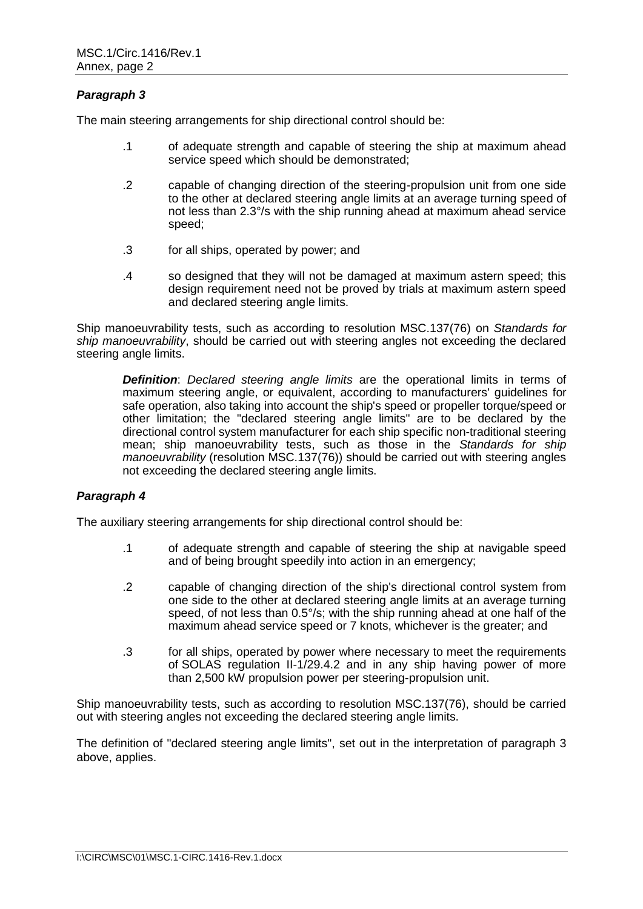# *Paragraph 3*

The main steering arrangements for ship directional control should be:

- .1 of adequate strength and capable of steering the ship at maximum ahead service speed which should be demonstrated;
- .2 capable of changing direction of the steering-propulsion unit from one side to the other at declared steering angle limits at an average turning speed of not less than 2.3°/s with the ship running ahead at maximum ahead service speed;
- .3 for all ships, operated by power; and
- .4 so designed that they will not be damaged at maximum astern speed; this design requirement need not be proved by trials at maximum astern speed and declared steering angle limits.

Ship manoeuvrability tests, such as according to resolution MSC.137(76) on *Standards for*  ship manoeuvrability, should be carried out with steering angles not exceeding the declared steering angle limits.

*Definition*: *Declared steering angle limits* are the operational limits in terms of maximum steering angle, or equivalent, according to manufacturers' guidelines for safe operation, also taking into account the ship's speed or propeller torque/speed or other limitation; the "declared steering angle limits" are to be declared by the directional control system manufacturer for each ship specific non-traditional steering mean; ship manoeuvrability tests, such as those in the *Standards for ship manoeuvrability* (resolution MSC.137(76)) should be carried out with steering angles not exceeding the declared steering angle limits.

## *Paragraph 4*

The auxiliary steering arrangements for ship directional control should be:

- .1 of adequate strength and capable of steering the ship at navigable speed and of being brought speedily into action in an emergency;
- .2 capable of changing direction of the ship's directional control system from one side to the other at declared steering angle limits at an average turning speed, of not less than 0.5°/s; with the ship running ahead at one half of the maximum ahead service speed or 7 knots, whichever is the greater; and
- .3 for all ships, operated by power where necessary to meet the requirements of SOLAS regulation II-1/29.4.2 and in any ship having power of more than 2,500 kW propulsion power per steering-propulsion unit.

Ship manoeuvrability tests, such as according to resolution MSC.137(76), should be carried out with steering angles not exceeding the declared steering angle limits.

The definition of "declared steering angle limits", set out in the interpretation of paragraph 3 above, applies.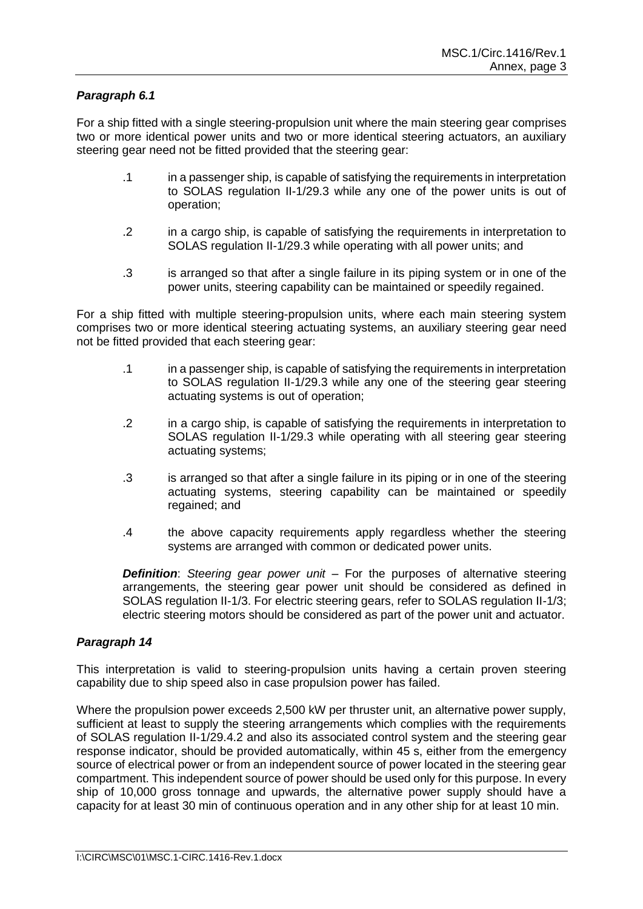# *Paragraph 6.1*

For a ship fitted with a single steering-propulsion unit where the main steering gear comprises two or more identical power units and two or more identical steering actuators, an auxiliary steering gear need not be fitted provided that the steering gear:

- .1 in a passenger ship, is capable of satisfying the requirements in interpretation to SOLAS regulation II-1/29.3 while any one of the power units is out of operation;
- .2 in a cargo ship, is capable of satisfying the requirements in interpretation to SOLAS regulation II-1/29.3 while operating with all power units; and
- .3 is arranged so that after a single failure in its piping system or in one of the power units, steering capability can be maintained or speedily regained.

For a ship fitted with multiple steering-propulsion units, where each main steering system comprises two or more identical steering actuating systems, an auxiliary steering gear need not be fitted provided that each steering gear:

- .1 in a passenger ship, is capable of satisfying the requirements in interpretation to SOLAS regulation II-1/29.3 while any one of the steering gear steering actuating systems is out of operation;
- .2 in a cargo ship, is capable of satisfying the requirements in interpretation to SOLAS regulation II-1/29.3 while operating with all steering gear steering actuating systems;
- .3 is arranged so that after a single failure in its piping or in one of the steering actuating systems, steering capability can be maintained or speedily regained; and
- .4 the above capacity requirements apply regardless whether the steering systems are arranged with common or dedicated power units.

*Definition*: *Steering gear power unit* – For the purposes of alternative steering arrangements, the steering gear power unit should be considered as defined in SOLAS regulation II-1/3. For electric steering gears, refer to SOLAS regulation II-1/3; electric steering motors should be considered as part of the power unit and actuator.

## *Paragraph 14*

This interpretation is valid to steering-propulsion units having a certain proven steering capability due to ship speed also in case propulsion power has failed.

Where the propulsion power exceeds 2,500 kW per thruster unit, an alternative power supply, sufficient at least to supply the steering arrangements which complies with the requirements of SOLAS regulation II-1/29.4.2 and also its associated control system and the steering gear response indicator, should be provided automatically, within 45 s, either from the emergency source of electrical power or from an independent source of power located in the steering gear compartment. This independent source of power should be used only for this purpose. In every ship of 10,000 gross tonnage and upwards, the alternative power supply should have a capacity for at least 30 min of continuous operation and in any other ship for at least 10 min.